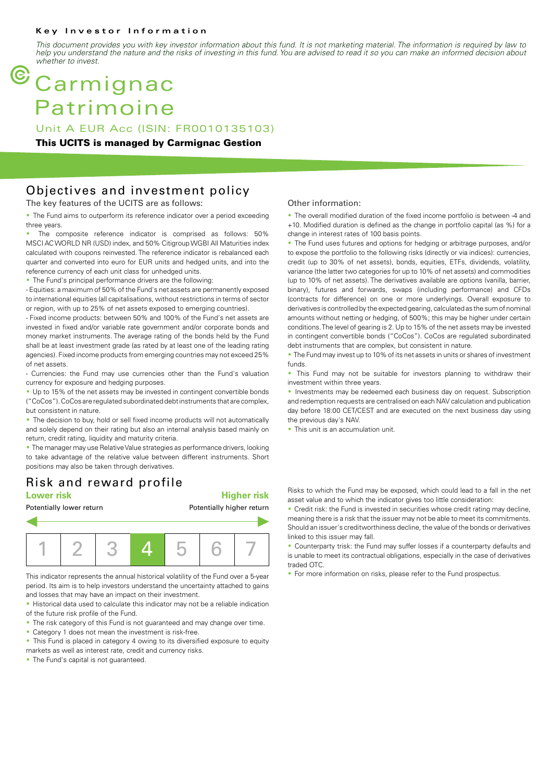#### **Key Investor Information**

*This document provides you with key investor information about this fund. It is not marketing material. The information is required by law to help you understand the nature and the risks of investing in this fund. You are advised to read it so you can make an informed decision about whether to invest.*

# **Carmignac** Patrimoine

Unit A EUR Acc (ISIN: FR0010135103)

#### **This UCITS is managed by Carmignac Gestion**

### Objectives and investment policy

The key features of the UCITS are as follows:

• The Fund aims to outperform its reference indicator over a period exceeding three years.

The composite reference indicator is comprised as follows: 50% MSCI AC WORLD NR (USD) index, and 50% Citigroup WGBI All Maturities index calculated with coupons reinvested. The reference indicator is rebalanced each quarter and converted into euro for EUR units and hedged units, and into the reference currency of each unit class for unhedged units.

• The Fund's principal performance drivers are the following:

- Equities: a maximum of 50% of the Fund's net assets are permanently exposed to international equities (all capitalisations, without restrictions in terms of sector or region, with up to 25% of net assets exposed to emerging countries).

- Fixed income products: between 50% and 100% of the Fund's net assets are invested in fixed and/or variable rate government and/or corporate bonds and money market instruments. The average rating of the bonds held by the Fund shall be at least investment grade (as rated by at least one of the leading rating agencies). Fixed income products from emerging countries may not exceed 25% of net assets.

- Currencies: the Fund may use currencies other than the Fund's valuation currency for exposure and hedging purposes.

• Up to 15% of the net assets may be invested in contingent convertible bonds ("CoCos"). CoCos are regulated subordinated debt instruments that are complex, but consistent in nature.

• The decision to buy, hold or sell fixed income products will not automatically and solely depend on their rating but also an internal analysis based mainly on return, credit rating, liquidity and maturity criteria.

• The manager may use Relative Value strategies as performance drivers, looking to take advantage of the relative value between different instruments. Short positions may also be taken through derivatives.

### Risk and reward profile

#### **Lower risk Higher risk**



This indicator represents the annual historical volatility of the Fund over a 5-year period. Its aim is to help investors understand the uncertainty attached to gains and losses that may have an impact on their investment.

• Historical data used to calculate this indicator may not be a reliable indication of the future risk profile of the Fund.

- The risk category of this Fund is not guaranteed and may change over time.
- Category 1 does not mean the investment is risk-free.
- This Fund is placed in category 4 owing to its diversified exposure to equity
- markets as well as interest rate, credit and currency risks. • The Fund's capital is not quaranteed.

#### Other information:

• The overall modified duration of the fixed income portfolio is between -4 and +10. Modified duration is defined as the change in portfolio capital (as %) for a change in interest rates of 100 basis points.

• The Fund uses futures and options for hedging or arbitrage purposes, and/or to expose the portfolio to the following risks (directly or via indices): currencies, credit (up to 30% of net assets), bonds, equities, ETFs, dividends, volatility, variance (the latter two categories for up to 10% of net assets) and commodities (up to 10% of net assets). The derivatives available are options (vanilla, barrier, binary), futures and forwards, swaps (including performance) and CFDs (contracts for difference) on one or more underlyings. Overall exposure to derivatives is controlled by the expected gearing, calculated as the sum of nominal amounts without netting or hedging, of 500%; this may be higher under certain conditions. The level of gearing is 2. Up to 15% of the net assets may be invested in contingent convertible bonds ("CoCos"). CoCos are regulated subordinated debt instruments that are complex, but consistent in nature.

• The Fund may invest up to 10% of its net assets in units or shares of investment funds.

• This Fund may not be suitable for investors planning to withdraw their investment within three years.

• Investments may be redeemed each business day on request. Subscription and redemption requests are centralised on each NAV calculation and publication day before 18:00 CET/CEST and are executed on the next business day using the previous day's NAV.

• This unit is an accumulation unit.

Risks to which the Fund may be exposed, which could lead to a fall in the net asset value and to which the indicator gives too little consideration:

• Credit risk: the Fund is invested in securities whose credit rating may decline. meaning there is a risk that the issuer may not be able to meet its commitments. Should an issuer's creditworthiness decline, the value of the bonds or derivatives linked to this issuer may fall.

• Counterparty trisk: the Fund may suffer losses if a counterparty defaults and is unable to meet its contractual obligations, especially in the case of derivatives traded OTC.

• For more information on risks, please refer to the Fund prospectus.